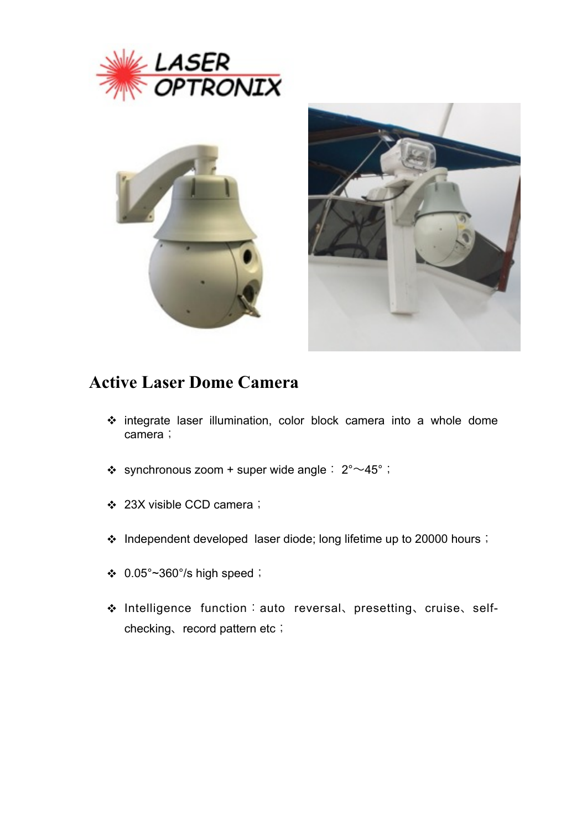





## **Active Laser Dome Camera**

- integrate laser illumination, color block camera into a whole dome camera;
- $\div$  synchronous zoom + super wide angle:  $2^{\circ} \sim 45^{\circ}$ ;
- 23X visible CCD camera;
- \* Independent developed laser diode; long lifetime up to 20000 hours;
- $\div$  0.05°~360°/s high speed;
- Intelligence function:auto reversal、presetting、cruise、selfchecking、record pattern etc;